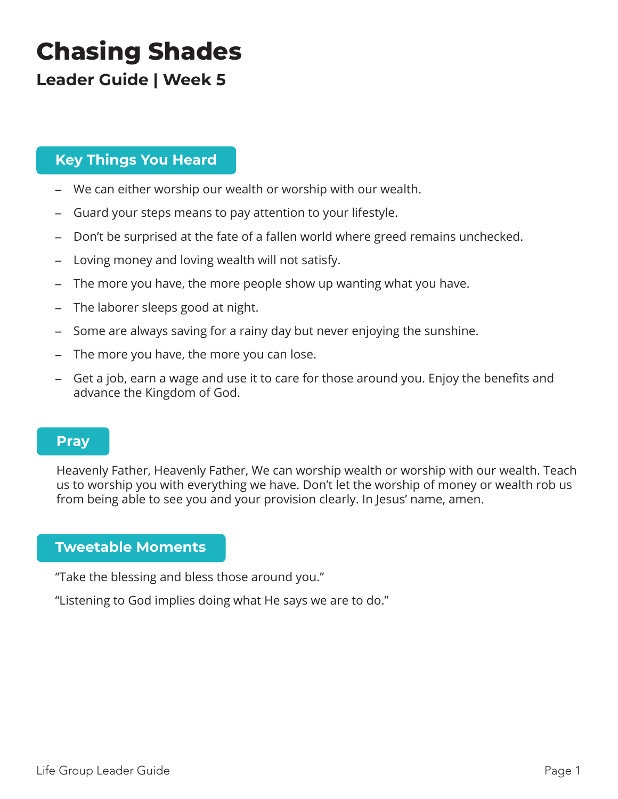# **Chasing Shades**

# **Leader Guide | Week 5**

# **Key Things You Heard**

- We can either worship our wealth or worship with our wealth.
- Guard your steps means to pay attention to your lifestyle.
- Don't be surprised at the fate of a fallen world where greed remains unchecked.
- Loving money and loving wealth will not satisfy.
- The more you have, the more people show up wanting what you have.
- The laborer sleeps good at night.
- Some are always saving for a rainy day but never enjoying the sunshine.
- The more you have, the more you can lose.
- Get a job, earn a wage and use it to care for those around you. Enjoy the benefits and advance the Kingdom of God.

## **Pray**

Heavenly Father, Heavenly Father, We can worship wealth or worship with our wealth. Teach us to worship you with everything we have. Don't let the worship of money or wealth rob us from being able to see you and your provision clearly. In Jesus' name, amen.

# **Tweetable Moments**

"Take the blessing and bless those around you."

"Listening to God implies doing what He says we are to do."